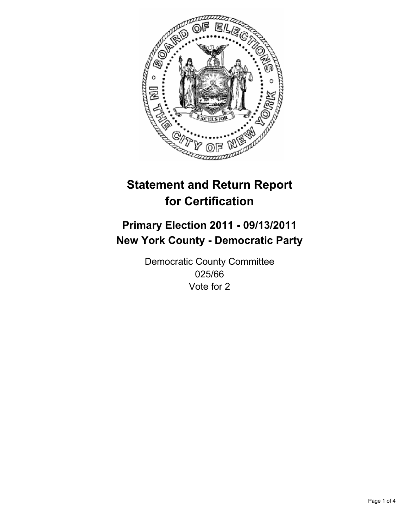

## **Primary Election 2011 - 09/13/2011 New York County - Democratic Party**

Democratic County Committee 025/66 Vote for 2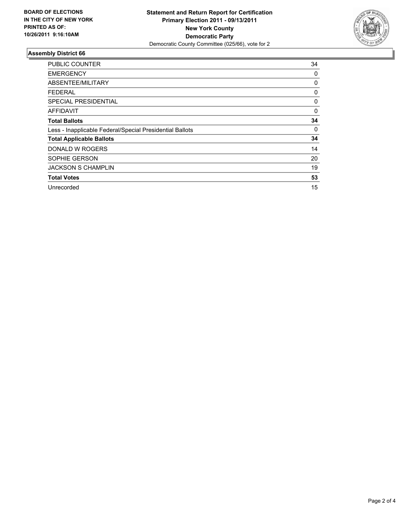

| <b>PUBLIC COUNTER</b>                                    | 34 |
|----------------------------------------------------------|----|
| <b>EMERGENCY</b>                                         | 0  |
| ABSENTEE/MILITARY                                        | 0  |
| FEDERAL                                                  | 0  |
| SPECIAL PRESIDENTIAL                                     | 0  |
| <b>AFFIDAVIT</b>                                         | 0  |
| <b>Total Ballots</b>                                     | 34 |
| Less - Inapplicable Federal/Special Presidential Ballots | 0  |
| <b>Total Applicable Ballots</b>                          | 34 |
| DONALD W ROGERS                                          | 14 |
| SOPHIE GERSON                                            | 20 |
| <b>JACKSON S CHAMPLIN</b>                                | 19 |
| <b>Total Votes</b>                                       | 53 |
| Unrecorded                                               | 15 |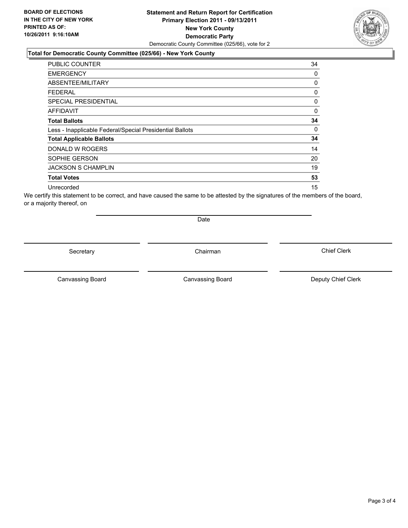#### **Statement and Return Report for Certification Primary Election 2011 - 09/13/2011 New York County Democratic Party** Democratic County Committee (025/66), vote for 2

### **Total for Democratic County Committee (025/66) - New York County**

| <b>PUBLIC COUNTER</b>                                    | 34 |
|----------------------------------------------------------|----|
| <b>EMERGENCY</b>                                         | 0  |
| ABSENTEE/MILITARY                                        | 0  |
| FEDERAL                                                  | 0  |
| <b>SPECIAL PRESIDENTIAL</b>                              | 0  |
| <b>AFFIDAVIT</b>                                         | 0  |
| <b>Total Ballots</b>                                     | 34 |
| Less - Inapplicable Federal/Special Presidential Ballots | 0  |
| <b>Total Applicable Ballots</b>                          | 34 |
| DONALD W ROGERS                                          | 14 |
| SOPHIE GERSON                                            | 20 |
| <b>JACKSON S CHAMPLIN</b>                                | 19 |
| <b>Total Votes</b>                                       | 53 |
| Unrecorded                                               | 15 |

We certify this statement to be correct, and have caused the same to be attested by the signatures of the members of the board, or a majority thereof, on

Secretary **Chairman** 

Canvassing Board

Canvassing Board **Canvassing Board** Canvassing Board **Deputy Chief Clerk** 

Chief Clerk



Date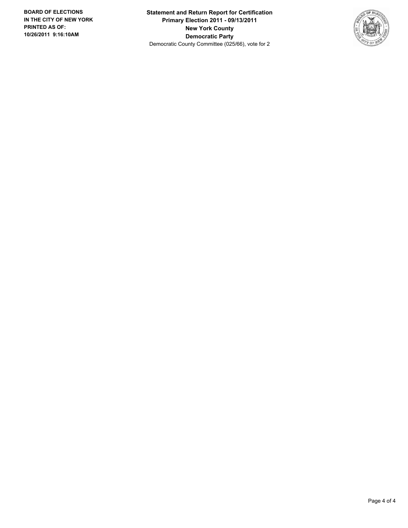**Statement and Return Report for Certification Primary Election 2011 - 09/13/2011 New York County Democratic Party** Democratic County Committee (025/66), vote for 2

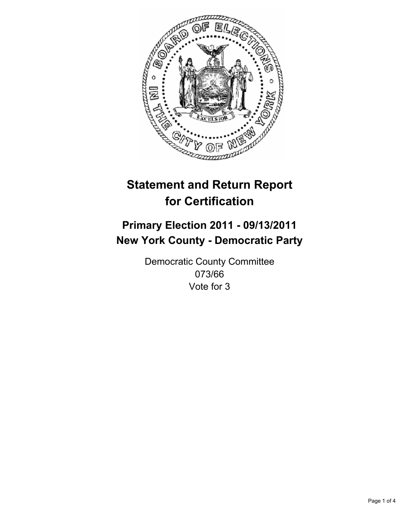

## **Primary Election 2011 - 09/13/2011 New York County - Democratic Party**

Democratic County Committee 073/66 Vote for 3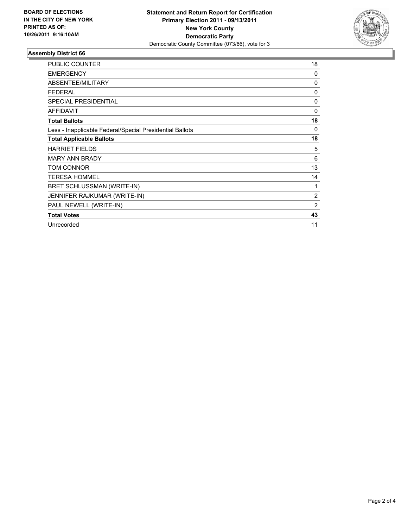

| <b>PUBLIC COUNTER</b>                                    | 18             |
|----------------------------------------------------------|----------------|
| <b>EMERGENCY</b>                                         | 0              |
| ABSENTEE/MILITARY                                        | 0              |
| <b>FEDERAL</b>                                           | 0              |
| <b>SPECIAL PRESIDENTIAL</b>                              | 0              |
| <b>AFFIDAVIT</b>                                         | 0              |
| <b>Total Ballots</b>                                     | 18             |
| Less - Inapplicable Federal/Special Presidential Ballots | 0              |
| <b>Total Applicable Ballots</b>                          | 18             |
| <b>HARRIET FIELDS</b>                                    | 5              |
| <b>MARY ANN BRADY</b>                                    | 6              |
| <b>TOM CONNOR</b>                                        | 13             |
| <b>TERESA HOMMEL</b>                                     | 14             |
| BRET SCHLUSSMAN (WRITE-IN)                               | 1              |
| JENNIFER RAJKUMAR (WRITE-IN)                             | $\overline{2}$ |
| PAUL NEWELL (WRITE-IN)                                   | 2              |
| <b>Total Votes</b>                                       | 43             |
| Unrecorded                                               | 11             |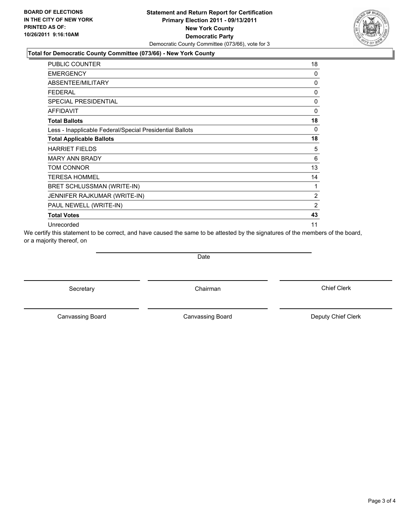#### **Statement and Return Report for Certification Primary Election 2011 - 09/13/2011 New York County Democratic Party** Democratic County Committee (073/66), vote for 3

#### **Total for Democratic County Committee (073/66) - New York County**

| PUBLIC COUNTER                                           | 18             |
|----------------------------------------------------------|----------------|
| <b>EMERGENCY</b>                                         | 0              |
| ABSENTEE/MILITARY                                        | $\Omega$       |
| <b>FEDERAL</b>                                           | $\Omega$       |
| <b>SPECIAL PRESIDENTIAL</b>                              | $\Omega$       |
| <b>AFFIDAVIT</b>                                         | 0              |
| <b>Total Ballots</b>                                     | 18             |
| Less - Inapplicable Federal/Special Presidential Ballots | 0              |
| <b>Total Applicable Ballots</b>                          | 18             |
| <b>HARRIET FIELDS</b>                                    | 5              |
| <b>MARY ANN BRADY</b>                                    | 6              |
| TOM CONNOR                                               | 13             |
| <b>TERESA HOMMEL</b>                                     | 14             |
| BRET SCHLUSSMAN (WRITE-IN)                               | 1              |
| JENNIFER RAJKUMAR (WRITE-IN)                             | $\overline{2}$ |
| PAUL NEWELL (WRITE-IN)                                   | $\overline{2}$ |
| <b>Total Votes</b>                                       | 43             |
| Unrecorded                                               | 11             |

We certify this statement to be correct, and have caused the same to be attested by the signatures of the members of the board, or a majority thereof, on

Secretary **Chairman** 

Date

Chief Clerk

Canvassing Board

Canvassing Board **Canvassing Board** Canvassing Board **Deputy Chief Clerk**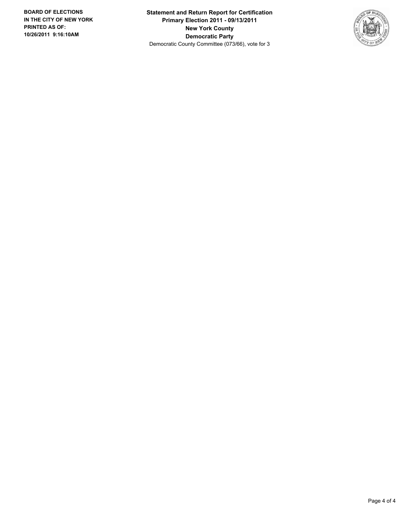**Statement and Return Report for Certification Primary Election 2011 - 09/13/2011 New York County Democratic Party** Democratic County Committee (073/66), vote for 3

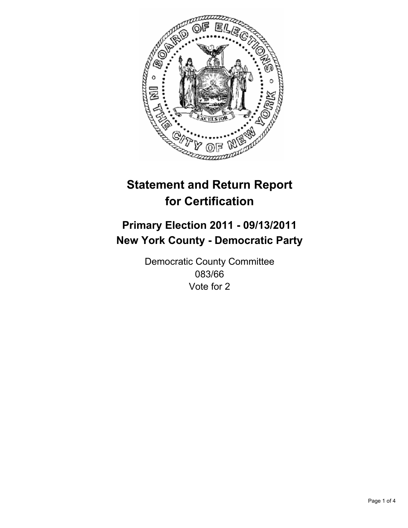

## **Primary Election 2011 - 09/13/2011 New York County - Democratic Party**

Democratic County Committee 083/66 Vote for 2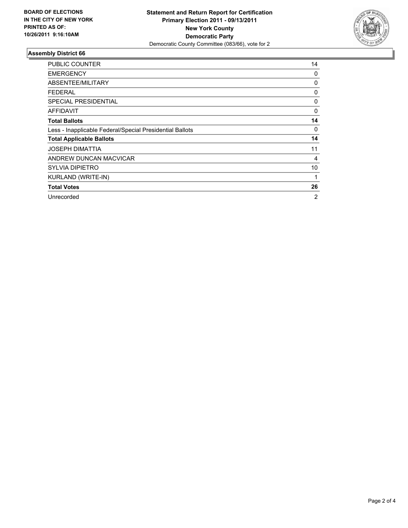

| <b>PUBLIC COUNTER</b>                                    | 14 |
|----------------------------------------------------------|----|
| <b>EMERGENCY</b>                                         | 0  |
| ABSENTEE/MILITARY                                        | 0  |
| <b>FEDERAL</b>                                           | 0  |
| <b>SPECIAL PRESIDENTIAL</b>                              | 0  |
| AFFIDAVIT                                                | 0  |
| <b>Total Ballots</b>                                     | 14 |
| Less - Inapplicable Federal/Special Presidential Ballots | 0  |
| <b>Total Applicable Ballots</b>                          | 14 |
| <b>JOSEPH DIMATTIA</b>                                   | 11 |
| ANDREW DUNCAN MACVICAR                                   | 4  |
| <b>SYLVIA DIPIETRO</b>                                   | 10 |
| KURLAND (WRITE-IN)                                       | 1  |
| <b>Total Votes</b>                                       | 26 |
| Unrecorded                                               | 2  |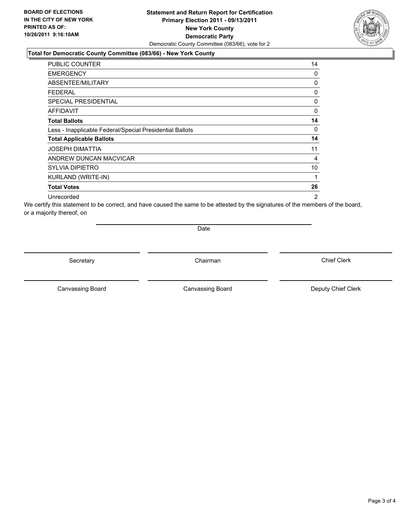#### **Statement and Return Report for Certification Primary Election 2011 - 09/13/2011 New York County Democratic Party** Democratic County Committee (083/66), vote for 2

### **Total for Democratic County Committee (083/66) - New York County**

| <b>PUBLIC COUNTER</b>                                    | 14 |
|----------------------------------------------------------|----|
| <b>EMERGENCY</b>                                         | 0  |
| ABSENTEE/MILITARY                                        | 0  |
| FEDERAL                                                  | 0  |
| SPECIAL PRESIDENTIAL                                     | 0  |
| <b>AFFIDAVIT</b>                                         | 0  |
| <b>Total Ballots</b>                                     | 14 |
| Less - Inapplicable Federal/Special Presidential Ballots | 0  |
| <b>Total Applicable Ballots</b>                          | 14 |
| <b>JOSEPH DIMATTIA</b>                                   | 11 |
| ANDREW DUNCAN MACVICAR                                   | 4  |
| <b>SYLVIA DIPIETRO</b>                                   | 10 |
| KURLAND (WRITE-IN)                                       | 1  |
| <b>Total Votes</b>                                       | 26 |
| Unrecorded                                               | 2  |

We certify this statement to be correct, and have caused the same to be attested by the signatures of the members of the board, or a majority thereof, on

Date

Secretary **Chairman** 

Canvassing Board **Canvassing Board** Canvassing Board **Deputy Chief Clerk** 

Canvassing Board

Chief Clerk

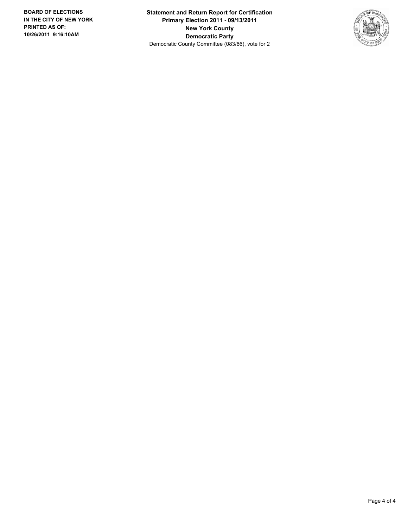**Statement and Return Report for Certification Primary Election 2011 - 09/13/2011 New York County Democratic Party** Democratic County Committee (083/66), vote for 2

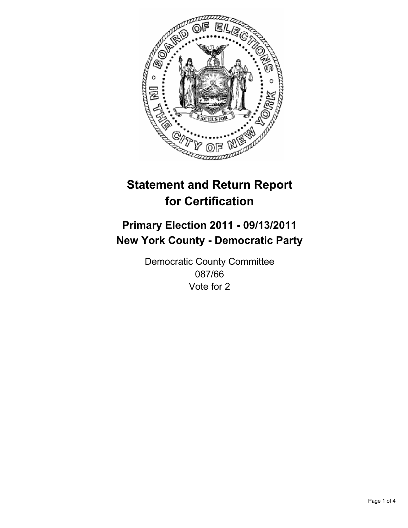

## **Primary Election 2011 - 09/13/2011 New York County - Democratic Party**

Democratic County Committee 087/66 Vote for 2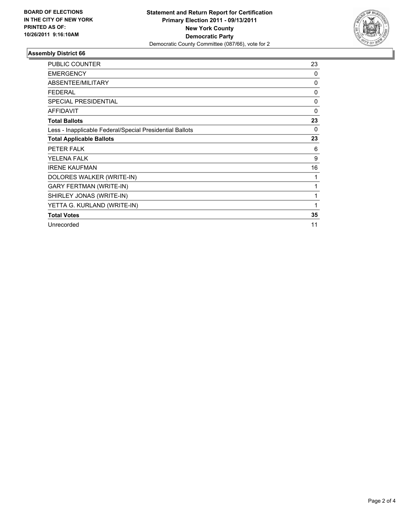

| <b>PUBLIC COUNTER</b>                                    | 23       |
|----------------------------------------------------------|----------|
| <b>EMERGENCY</b>                                         | 0        |
| ABSENTEE/MILITARY                                        | 0        |
| <b>FEDERAL</b>                                           | 0        |
| <b>SPECIAL PRESIDENTIAL</b>                              | 0        |
| <b>AFFIDAVIT</b>                                         | $\Omega$ |
| <b>Total Ballots</b>                                     | 23       |
| Less - Inapplicable Federal/Special Presidential Ballots | 0        |
| <b>Total Applicable Ballots</b>                          | 23       |
| PETER FALK                                               | 6        |
| YELENA FALK                                              | 9        |
| <b>IRENE KAUFMAN</b>                                     | 16       |
| DOLORES WALKER (WRITE-IN)                                | 1        |
| <b>GARY FERTMAN (WRITE-IN)</b>                           | 1        |
| SHIRLEY JONAS (WRITE-IN)                                 | 1        |
| YETTA G. KURLAND (WRITE-IN)                              | 1        |
| <b>Total Votes</b>                                       | 35       |
| Unrecorded                                               | 11       |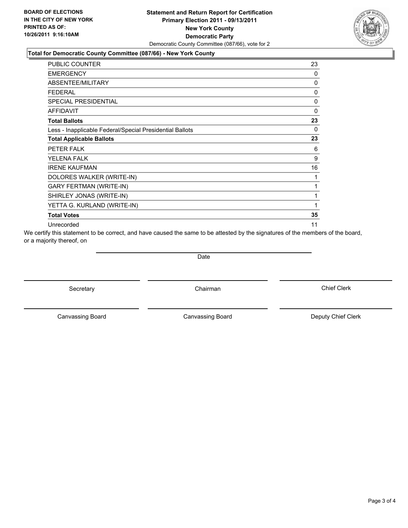#### **Statement and Return Report for Certification Primary Election 2011 - 09/13/2011 New York County Democratic Party** Democratic County Committee (087/66), vote for 2

#### **Total for Democratic County Committee (087/66) - New York County**

| <b>PUBLIC COUNTER</b>                                    | 23           |
|----------------------------------------------------------|--------------|
| <b>EMERGENCY</b>                                         | $\Omega$     |
| <b>ABSENTEE/MILITARY</b>                                 | $\mathbf{0}$ |
| <b>FEDERAL</b>                                           | $\Omega$     |
| <b>SPECIAL PRESIDENTIAL</b>                              | 0            |
| <b>AFFIDAVIT</b>                                         | 0            |
| <b>Total Ballots</b>                                     | 23           |
| Less - Inapplicable Federal/Special Presidential Ballots | 0            |
| <b>Total Applicable Ballots</b>                          | 23           |
| PETER FALK                                               | 6            |
| YELENA FALK                                              | 9            |
| <b>IRENE KAUFMAN</b>                                     | 16           |
| DOLORES WALKER (WRITE-IN)                                | 1            |
| <b>GARY FERTMAN (WRITE-IN)</b>                           | 1            |
| SHIRLEY JONAS (WRITE-IN)                                 | 1            |
| YETTA G. KURLAND (WRITE-IN)                              | 1            |
| <b>Total Votes</b>                                       | 35           |
| Unrecorded                                               | 11           |

We certify this statement to be correct, and have caused the same to be attested by the signatures of the members of the board, or a majority thereof, on

Secretary **Chairman** 

Date

Chief Clerk

Canvassing Board

Canvassing Board **Canvassing Board** Canvassing Board **Deputy Chief Clerk**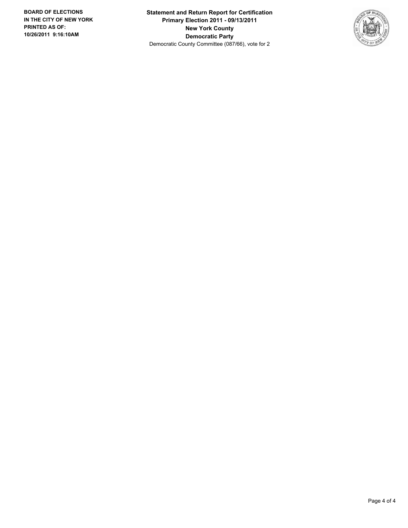**Statement and Return Report for Certification Primary Election 2011 - 09/13/2011 New York County Democratic Party** Democratic County Committee (087/66), vote for 2

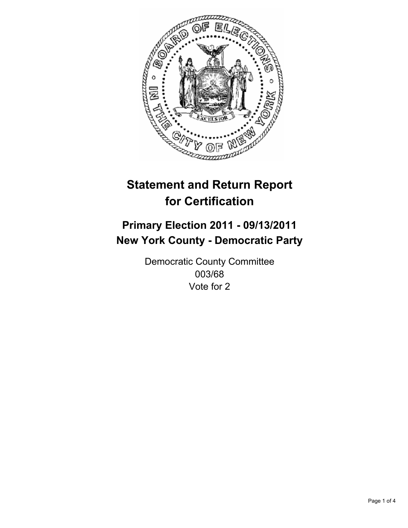

## **Primary Election 2011 - 09/13/2011 New York County - Democratic Party**

Democratic County Committee 003/68 Vote for 2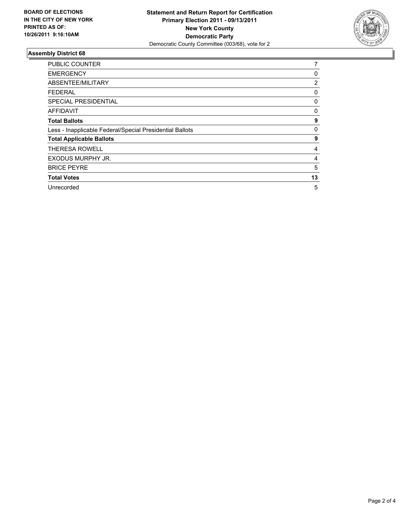

| <b>PUBLIC COUNTER</b>                                    | 7              |
|----------------------------------------------------------|----------------|
| <b>EMERGENCY</b>                                         | 0              |
| ABSENTEE/MILITARY                                        | $\overline{2}$ |
| <b>FEDERAL</b>                                           | 0              |
| <b>SPECIAL PRESIDENTIAL</b>                              | 0              |
| <b>AFFIDAVIT</b>                                         | 0              |
| <b>Total Ballots</b>                                     | 9              |
| Less - Inapplicable Federal/Special Presidential Ballots | $\Omega$       |
| <b>Total Applicable Ballots</b>                          | 9              |
| <b>THERESA ROWELL</b>                                    | 4              |
| <b>EXODUS MURPHY JR.</b>                                 | 4              |
| <b>BRICE PEYRE</b>                                       | 5              |
| <b>Total Votes</b>                                       | 13             |
| Unrecorded                                               | 5              |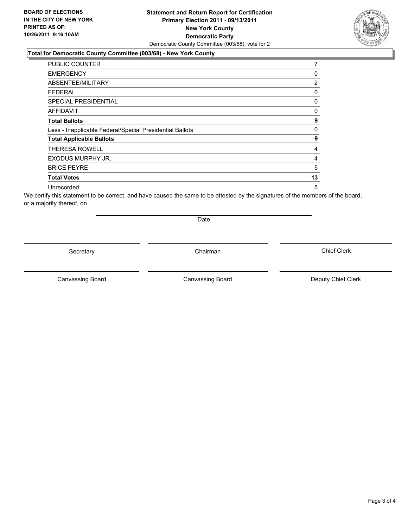#### **Statement and Return Report for Certification Primary Election 2011 - 09/13/2011 New York County Democratic Party** Democratic County Committee (003/68), vote for 2

#### **Total for Democratic County Committee (003/68) - New York County**

| <b>PUBLIC COUNTER</b>                                    | 7              |
|----------------------------------------------------------|----------------|
| <b>EMERGENCY</b>                                         | 0              |
| ABSENTEE/MILITARY                                        | $\overline{2}$ |
| <b>FEDERAL</b>                                           | 0              |
| <b>SPECIAL PRESIDENTIAL</b>                              | 0              |
| <b>AFFIDAVIT</b>                                         | 0              |
| <b>Total Ballots</b>                                     | 9              |
| Less - Inapplicable Federal/Special Presidential Ballots | 0              |
| <b>Total Applicable Ballots</b>                          | 9              |
| <b>THERESA ROWELL</b>                                    | 4              |
| <b>EXODUS MURPHY JR.</b>                                 | 4              |
| <b>BRICE PEYRE</b>                                       | 5              |
| <b>Total Votes</b>                                       | 13             |
| Unrecorded                                               | 5              |

We certify this statement to be correct, and have caused the same to be attested by the signatures of the members of the board, or a majority thereof, on

Secretary **Chairman** 

Date

Canvassing Board

Canvassing Board **Canvassing Board** Canvassing Board **Deputy Chief Clerk** 

Chief Clerk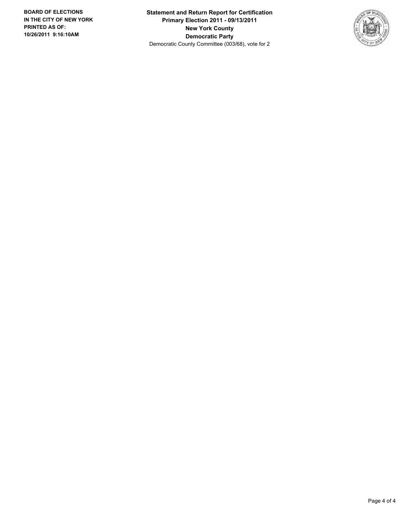**Statement and Return Report for Certification Primary Election 2011 - 09/13/2011 New York County Democratic Party** Democratic County Committee (003/68), vote for 2

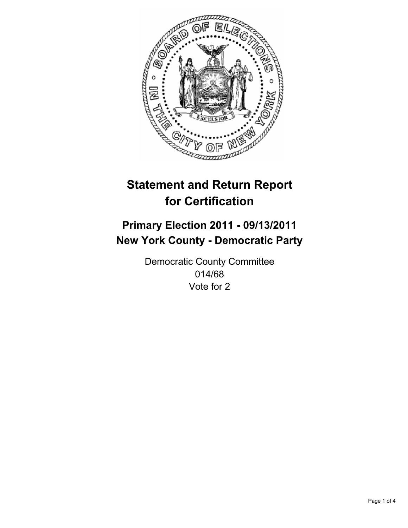

## **Primary Election 2011 - 09/13/2011 New York County - Democratic Party**

Democratic County Committee 014/68 Vote for 2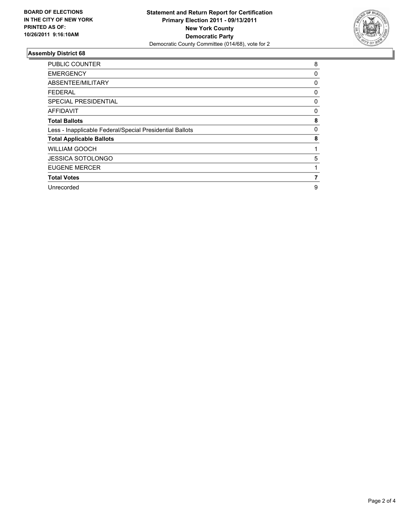

| <b>PUBLIC COUNTER</b>                                    | 8 |
|----------------------------------------------------------|---|
| <b>EMERGENCY</b>                                         | 0 |
| ABSENTEE/MILITARY                                        | 0 |
| <b>FEDERAL</b>                                           | 0 |
| <b>SPECIAL PRESIDENTIAL</b>                              | 0 |
| <b>AFFIDAVIT</b>                                         | 0 |
| <b>Total Ballots</b>                                     | 8 |
| Less - Inapplicable Federal/Special Presidential Ballots | 0 |
| <b>Total Applicable Ballots</b>                          | 8 |
| <b>WILLIAM GOOCH</b>                                     |   |
| <b>JESSICA SOTOLONGO</b>                                 | 5 |
| <b>EUGENE MERCER</b>                                     |   |
| <b>Total Votes</b>                                       | 7 |
| Unrecorded                                               | 9 |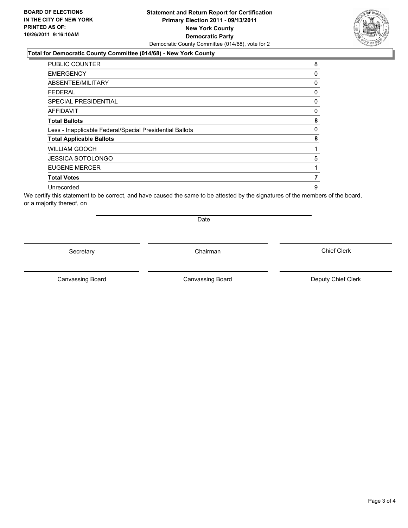#### **Statement and Return Report for Certification Primary Election 2011 - 09/13/2011 New York County Democratic Party** Democratic County Committee (014/68), vote for 2

### **Total for Democratic County Committee (014/68) - New York County**

| <b>PUBLIC COUNTER</b>                                    | 8 |
|----------------------------------------------------------|---|
| <b>EMERGENCY</b>                                         | 0 |
| ABSENTEE/MILITARY                                        | 0 |
| <b>FEDERAL</b>                                           | 0 |
| <b>SPECIAL PRESIDENTIAL</b>                              | 0 |
| <b>AFFIDAVIT</b>                                         | 0 |
| <b>Total Ballots</b>                                     | 8 |
| Less - Inapplicable Federal/Special Presidential Ballots | 0 |
| <b>Total Applicable Ballots</b>                          | 8 |
| <b>WILLIAM GOOCH</b>                                     | 1 |
| <b>JESSICA SOTOLONGO</b>                                 | 5 |
| <b>EUGENE MERCER</b>                                     | 1 |
| <b>Total Votes</b>                                       | 7 |
| Unrecorded                                               | 9 |

We certify this statement to be correct, and have caused the same to be attested by the signatures of the members of the board, or a majority thereof, on

Secretary **Chairman** 

Date

Canvassing Board

Canvassing Board **Canvassing Board** Canvassing Board **Deputy Chief Clerk** 

Chief Clerk

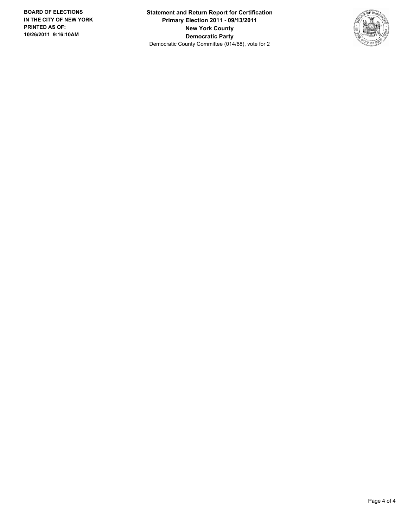**Statement and Return Report for Certification Primary Election 2011 - 09/13/2011 New York County Democratic Party** Democratic County Committee (014/68), vote for 2

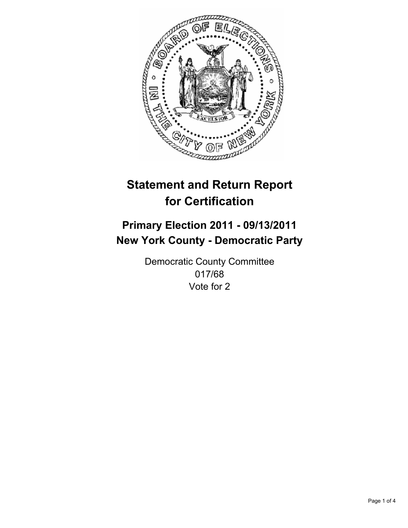

## **Primary Election 2011 - 09/13/2011 New York County - Democratic Party**

Democratic County Committee 017/68 Vote for 2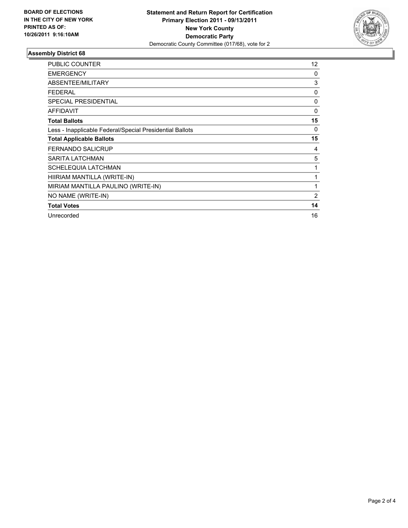

| <b>PUBLIC COUNTER</b>                                    | 12             |
|----------------------------------------------------------|----------------|
| <b>EMERGENCY</b>                                         | 0              |
| ABSENTEE/MILITARY                                        | 3              |
| <b>FEDERAL</b>                                           | 0              |
| <b>SPECIAL PRESIDENTIAL</b>                              | 0              |
| <b>AFFIDAVIT</b>                                         | $\Omega$       |
| <b>Total Ballots</b>                                     | 15             |
| Less - Inapplicable Federal/Special Presidential Ballots | 0              |
| <b>Total Applicable Ballots</b>                          | 15             |
| <b>FERNANDO SALICRUP</b>                                 | 4              |
| <b>SARITA LATCHMAN</b>                                   | 5              |
| SCHELEQUIA LATCHMAN                                      | 1              |
| HIIRIAM MANTILLA (WRITE-IN)                              | 1              |
| MIRIAM MANTILLA PAULINO (WRITE-IN)                       | 1              |
| NO NAME (WRITE-IN)                                       | $\overline{2}$ |
| <b>Total Votes</b>                                       | 14             |
| Unrecorded                                               | 16             |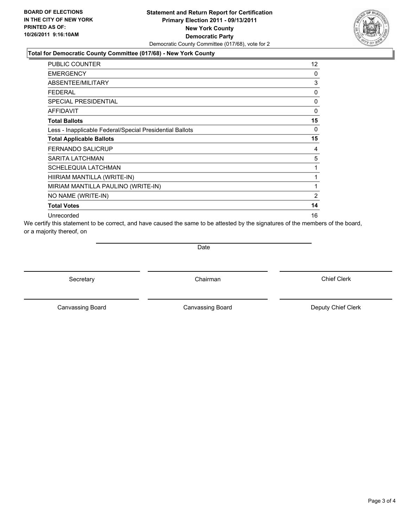#### **Statement and Return Report for Certification Primary Election 2011 - 09/13/2011 New York County Democratic Party** Democratic County Committee (017/68), vote for 2

#### **Total for Democratic County Committee (017/68) - New York County**

| <b>PUBLIC COUNTER</b>                                    | 12       |
|----------------------------------------------------------|----------|
| <b>EMERGENCY</b>                                         | $\Omega$ |
| ABSENTEE/MILITARY                                        | 3        |
| <b>FEDERAL</b>                                           | $\Omega$ |
| <b>SPECIAL PRESIDENTIAL</b>                              | 0        |
| <b>AFFIDAVIT</b>                                         | $\Omega$ |
| <b>Total Ballots</b>                                     | 15       |
| Less - Inapplicable Federal/Special Presidential Ballots | 0        |
| <b>Total Applicable Ballots</b>                          | 15       |
| <b>FERNANDO SALICRUP</b>                                 | 4        |
| <b>SARITA LATCHMAN</b>                                   | 5        |
| <b>SCHELEQUIA LATCHMAN</b>                               | 1        |
| HIIRIAM MANTILLA (WRITE-IN)                              | 1        |
| MIRIAM MANTILLA PAULINO (WRITE-IN)                       | 1        |
| NO NAME (WRITE-IN)                                       | 2        |
| <b>Total Votes</b>                                       | 14       |
| Unrecorded                                               | 16       |

We certify this statement to be correct, and have caused the same to be attested by the signatures of the members of the board, or a majority thereof, on

**Date** 

Secretary **Chairman** 

Canvassing Board **Canvassing Board** Canvassing Board **Deputy Chief Clerk** 

Canvassing Board

Chief Clerk

Page 3 of 4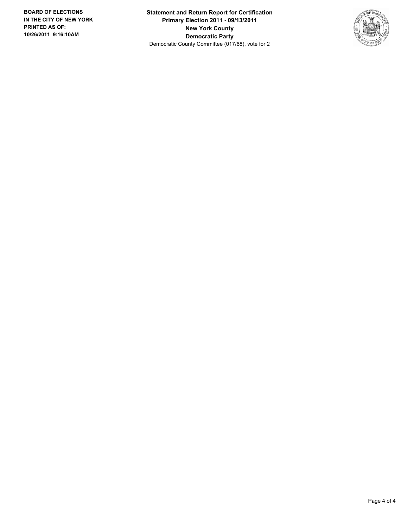**Statement and Return Report for Certification Primary Election 2011 - 09/13/2011 New York County Democratic Party** Democratic County Committee (017/68), vote for 2

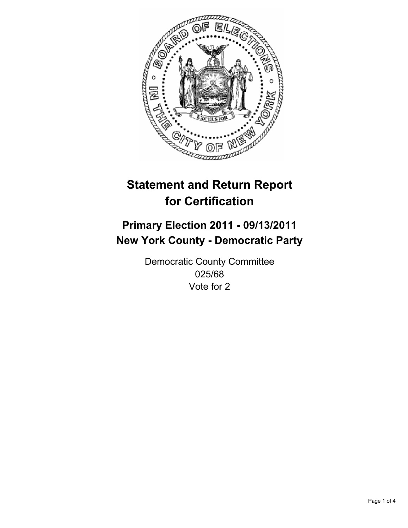

## **Primary Election 2011 - 09/13/2011 New York County - Democratic Party**

Democratic County Committee 025/68 Vote for 2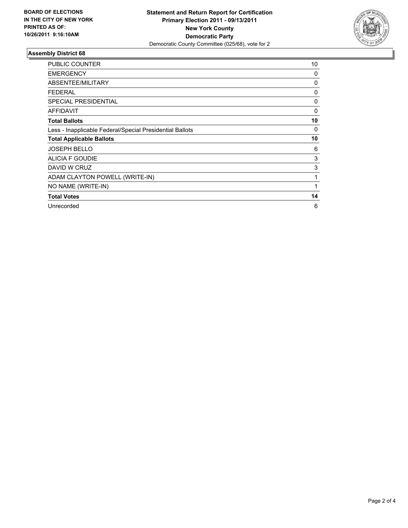

| <b>PUBLIC COUNTER</b>                                    | 10 |
|----------------------------------------------------------|----|
| <b>EMERGENCY</b>                                         | 0  |
| ABSENTEE/MILITARY                                        | 0  |
| <b>FEDERAL</b>                                           | 0  |
| <b>SPECIAL PRESIDENTIAL</b>                              | 0  |
| <b>AFFIDAVIT</b>                                         | 0  |
| <b>Total Ballots</b>                                     | 10 |
| Less - Inapplicable Federal/Special Presidential Ballots | 0  |
| <b>Total Applicable Ballots</b>                          | 10 |
| <b>JOSEPH BELLO</b>                                      | 6  |
| ALICIA F GOUDIE                                          | 3  |
| DAVID W CRUZ                                             | 3  |
| ADAM CLAYTON POWELL (WRITE-IN)                           | 1  |
| NO NAME (WRITE-IN)                                       | 1  |
| <b>Total Votes</b>                                       | 14 |
| Unrecorded                                               | 6  |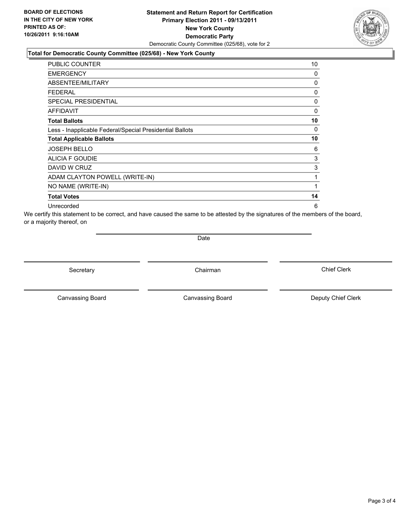#### **Statement and Return Report for Certification Primary Election 2011 - 09/13/2011 New York County Democratic Party** Democratic County Committee (025/68), vote for 2

### **Total for Democratic County Committee (025/68) - New York County**

| <b>PUBLIC COUNTER</b>                                    | 10 |
|----------------------------------------------------------|----|
| <b>EMERGENCY</b>                                         | 0  |
| ABSENTEE/MILITARY                                        | 0  |
| <b>FEDERAL</b>                                           | 0  |
| <b>SPECIAL PRESIDENTIAL</b>                              | 0  |
| <b>AFFIDAVIT</b>                                         | 0  |
| <b>Total Ballots</b>                                     | 10 |
| Less - Inapplicable Federal/Special Presidential Ballots | 0  |
| <b>Total Applicable Ballots</b>                          | 10 |
| <b>JOSEPH BELLO</b>                                      | 6  |
| <b>ALICIA F GOUDIE</b>                                   | 3  |
| DAVID W CRUZ                                             | 3  |
| ADAM CLAYTON POWELL (WRITE-IN)                           | 1  |
| NO NAME (WRITE-IN)                                       | 1  |
| <b>Total Votes</b>                                       | 14 |
| Unrecorded                                               | 6  |

We certify this statement to be correct, and have caused the same to be attested by the signatures of the members of the board, or a majority thereof, on

**Date** 

Secretary **Chairman** 

Canvassing Board **Canvassing Board** Canvassing Board **Deputy Chief Clerk** 

Canvassing Board

Chief Clerk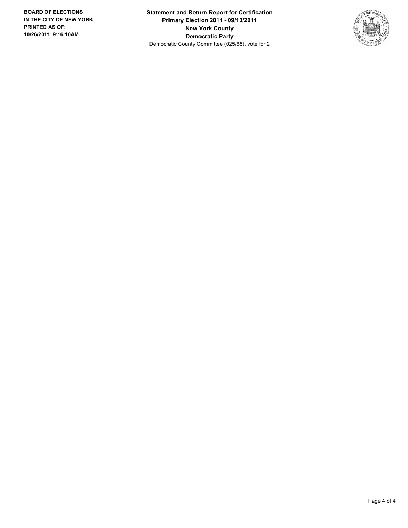**Statement and Return Report for Certification Primary Election 2011 - 09/13/2011 New York County Democratic Party** Democratic County Committee (025/68), vote for 2

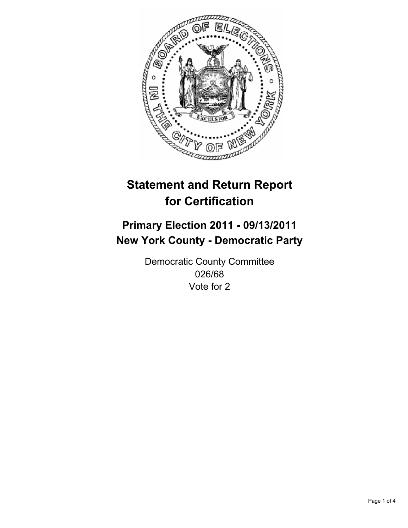

## **Primary Election 2011 - 09/13/2011 New York County - Democratic Party**

Democratic County Committee 026/68 Vote for 2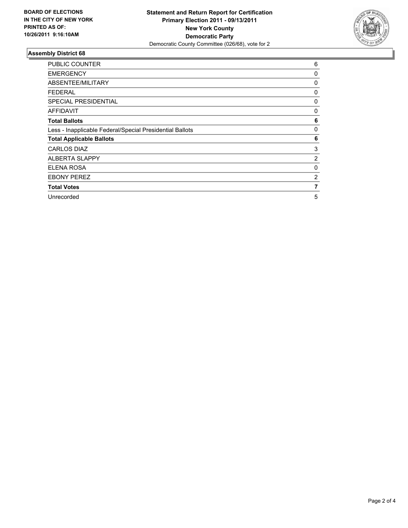

| <b>PUBLIC COUNTER</b>                                    | 6              |
|----------------------------------------------------------|----------------|
| <b>EMERGENCY</b>                                         | 0              |
| ABSENTEE/MILITARY                                        | 0              |
| <b>FEDERAL</b>                                           | 0              |
| <b>SPECIAL PRESIDENTIAL</b>                              | 0              |
| <b>AFFIDAVIT</b>                                         | 0              |
| <b>Total Ballots</b>                                     | 6              |
| Less - Inapplicable Federal/Special Presidential Ballots | 0              |
| <b>Total Applicable Ballots</b>                          | 6              |
| <b>CARLOS DIAZ</b>                                       | 3              |
| ALBERTA SLAPPY                                           | $\overline{2}$ |
| ELENA ROSA                                               | 0              |
| <b>EBONY PEREZ</b>                                       | 2              |
| <b>Total Votes</b>                                       | 7              |
| Unrecorded                                               | 5              |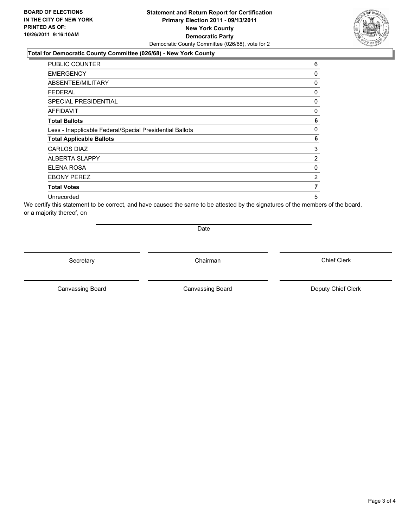#### **Statement and Return Report for Certification Primary Election 2011 - 09/13/2011 New York County Democratic Party** Democratic County Committee (026/68), vote for 2

### **Total for Democratic County Committee (026/68) - New York County**

| PUBLIC COUNTER                                           | 6              |
|----------------------------------------------------------|----------------|
| <b>EMERGENCY</b>                                         | 0              |
| ABSENTEE/MILITARY                                        | 0              |
| <b>FEDERAL</b>                                           | 0              |
| <b>SPECIAL PRESIDENTIAL</b>                              | 0              |
| <b>AFFIDAVIT</b>                                         | 0              |
| <b>Total Ballots</b>                                     | 6              |
| Less - Inapplicable Federal/Special Presidential Ballots | 0              |
| <b>Total Applicable Ballots</b>                          | 6              |
| <b>CARLOS DIAZ</b>                                       | 3              |
| ALBERTA SLAPPY                                           | 2              |
| ELENA ROSA                                               | 0              |
| <b>EBONY PEREZ</b>                                       | 2              |
| <b>Total Votes</b>                                       | $\overline{7}$ |
| Unrecorded                                               | 5              |

We certify this statement to be correct, and have caused the same to be attested by the signatures of the members of the board, or a majority thereof, on

Date

Secretary **Chairman** 

Canvassing Board **Canvassing Board** Canvassing Board **Deputy Chief Clerk** 

Canvassing Board

Chief Clerk

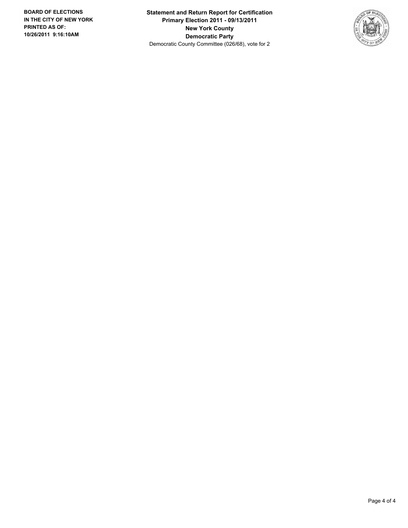**Statement and Return Report for Certification Primary Election 2011 - 09/13/2011 New York County Democratic Party** Democratic County Committee (026/68), vote for 2

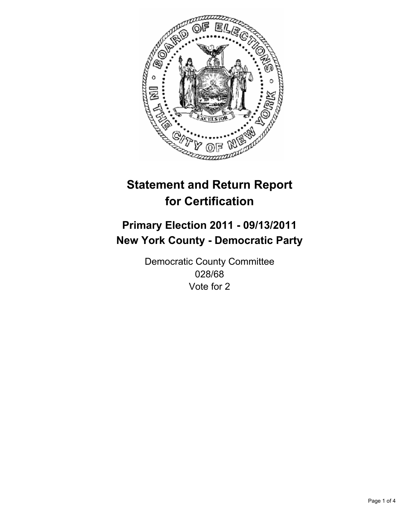

## **Primary Election 2011 - 09/13/2011 New York County - Democratic Party**

Democratic County Committee 028/68 Vote for 2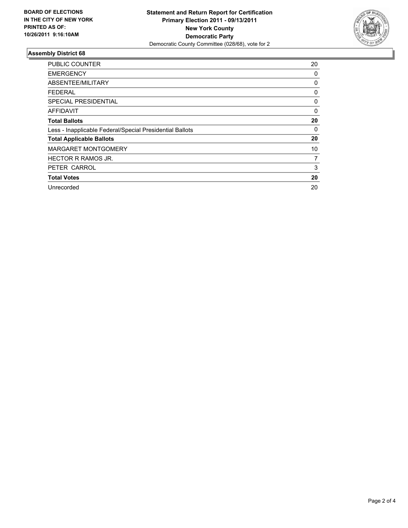

| <b>PUBLIC COUNTER</b>                                    | 20 |
|----------------------------------------------------------|----|
| EMERGENCY                                                | 0  |
| ABSENTEE/MILITARY                                        | 0  |
| <b>FEDERAL</b>                                           | 0  |
| <b>SPECIAL PRESIDENTIAL</b>                              | 0  |
| <b>AFFIDAVIT</b>                                         | 0  |
| <b>Total Ballots</b>                                     | 20 |
| Less - Inapplicable Federal/Special Presidential Ballots | 0  |
| <b>Total Applicable Ballots</b>                          | 20 |
| <b>MARGARET MONTGOMERY</b>                               | 10 |
| <b>HECTOR R RAMOS JR.</b>                                | 7  |
| PETER CARROL                                             | 3  |
| <b>Total Votes</b>                                       | 20 |
| Unrecorded                                               | 20 |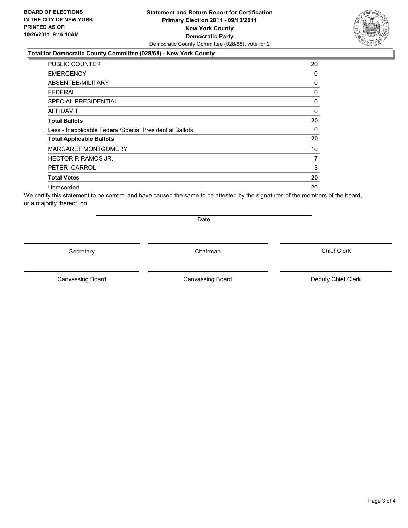#### **Statement and Return Report for Certification Primary Election 2011 - 09/13/2011 New York County Democratic Party** Democratic County Committee (028/68), vote for 2

### **Total for Democratic County Committee (028/68) - New York County**

| <b>PUBLIC COUNTER</b>                                    | 20 |
|----------------------------------------------------------|----|
| <b>EMERGENCY</b>                                         | 0  |
| ABSENTEE/MILITARY                                        | 0  |
| <b>FEDERAL</b>                                           | 0  |
| <b>SPECIAL PRESIDENTIAL</b>                              | 0  |
| <b>AFFIDAVIT</b>                                         | 0  |
| <b>Total Ballots</b>                                     | 20 |
| Less - Inapplicable Federal/Special Presidential Ballots | 0  |
| <b>Total Applicable Ballots</b>                          | 20 |
| <b>MARGARET MONTGOMERY</b>                               | 10 |
| <b>HECTOR R RAMOS JR.</b>                                | 7  |
| PETER CARROL                                             | 3  |
| <b>Total Votes</b>                                       | 20 |
| Unrecorded                                               | 20 |

We certify this statement to be correct, and have caused the same to be attested by the signatures of the members of the board, or a majority thereof, on

Secretary **Chairman** 

Date

Canvassing Board

Canvassing Board **Canvassing Board** Canvassing Board **Deputy Chief Clerk** 

Chief Clerk

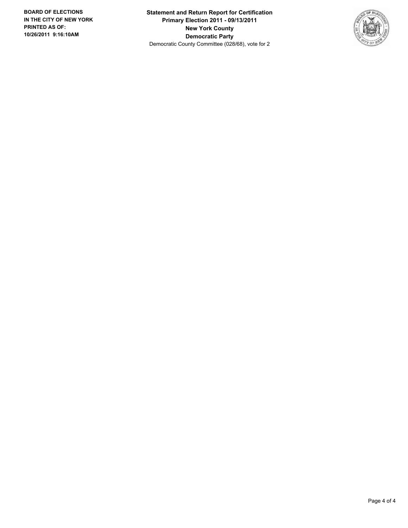**Statement and Return Report for Certification Primary Election 2011 - 09/13/2011 New York County Democratic Party** Democratic County Committee (028/68), vote for 2

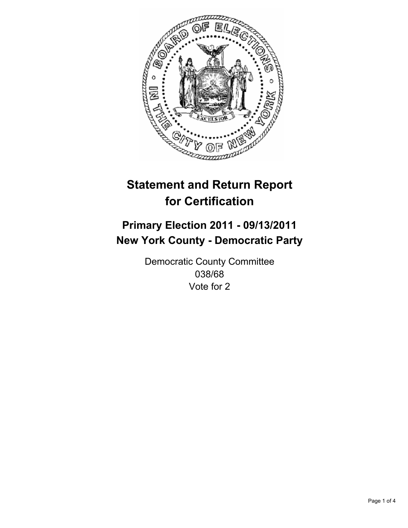

## **Primary Election 2011 - 09/13/2011 New York County - Democratic Party**

Democratic County Committee 038/68 Vote for 2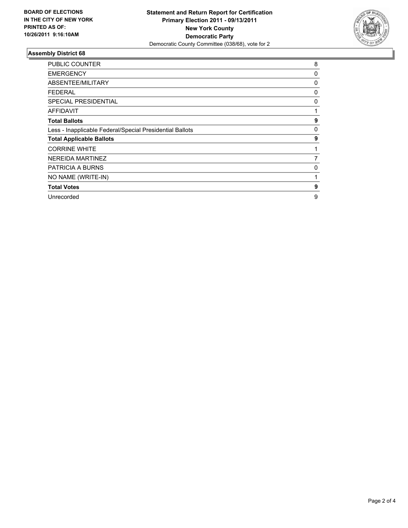

| <b>PUBLIC COUNTER</b>                                    | 8 |
|----------------------------------------------------------|---|
| <b>EMERGENCY</b>                                         | 0 |
| ABSENTEE/MILITARY                                        | 0 |
| <b>FEDERAL</b>                                           | 0 |
| <b>SPECIAL PRESIDENTIAL</b>                              | 0 |
| AFFIDAVIT                                                | 1 |
| <b>Total Ballots</b>                                     | 9 |
| Less - Inapplicable Federal/Special Presidential Ballots | 0 |
| <b>Total Applicable Ballots</b>                          | 9 |
| <b>CORRINE WHITE</b>                                     |   |
| NEREIDA MARTINEZ                                         | 7 |
| <b>PATRICIA A BURNS</b>                                  | 0 |
| NO NAME (WRITE-IN)                                       |   |
| <b>Total Votes</b>                                       | 9 |
| Unrecorded                                               | 9 |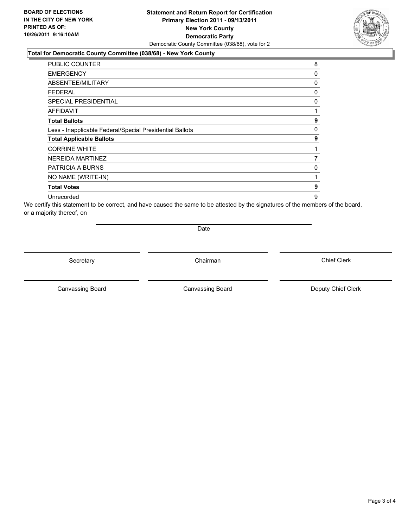#### **Statement and Return Report for Certification Primary Election 2011 - 09/13/2011 New York County Democratic Party** Democratic County Committee (038/68), vote for 2

### **Total for Democratic County Committee (038/68) - New York County**

| <b>PUBLIC COUNTER</b>                                    | 8 |
|----------------------------------------------------------|---|
| <b>EMERGENCY</b>                                         | 0 |
| ABSENTEE/MILITARY                                        | 0 |
| <b>FEDERAL</b>                                           | 0 |
| SPECIAL PRESIDENTIAL                                     | 0 |
| AFFIDAVIT                                                | 1 |
| <b>Total Ballots</b>                                     | 9 |
| Less - Inapplicable Federal/Special Presidential Ballots | 0 |
| <b>Total Applicable Ballots</b>                          | 9 |
| <b>CORRINE WHITE</b>                                     | 1 |
| NEREIDA MARTINEZ                                         | 7 |
| PATRICIA A BURNS                                         | 0 |
| NO NAME (WRITE-IN)                                       | 1 |
| <b>Total Votes</b>                                       | 9 |
| Unrecorded                                               | 9 |

We certify this statement to be correct, and have caused the same to be attested by the signatures of the members of the board, or a majority thereof, on

Date

Secretary **Chairman** 

Canvassing Board **Canvassing Board** Canvassing Board **Deputy Chief Clerk** 

Canvassing Board

Chief Clerk

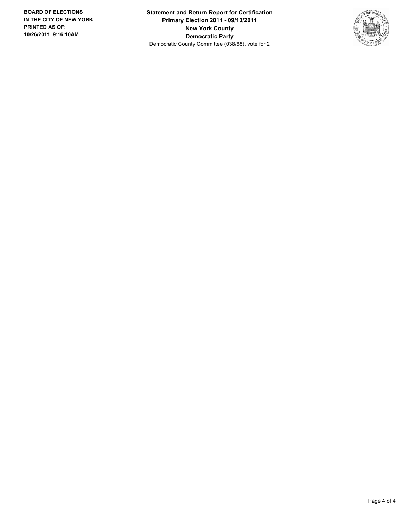**Statement and Return Report for Certification Primary Election 2011 - 09/13/2011 New York County Democratic Party** Democratic County Committee (038/68), vote for 2

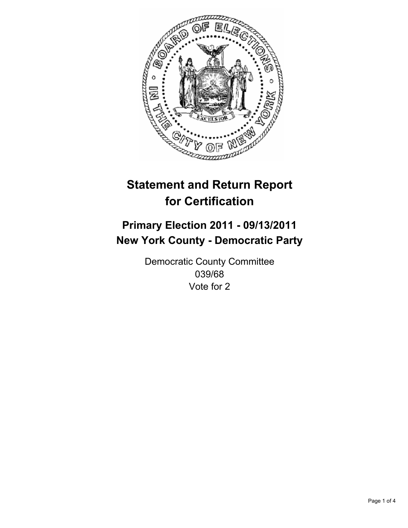

## **Primary Election 2011 - 09/13/2011 New York County - Democratic Party**

Democratic County Committee 039/68 Vote for 2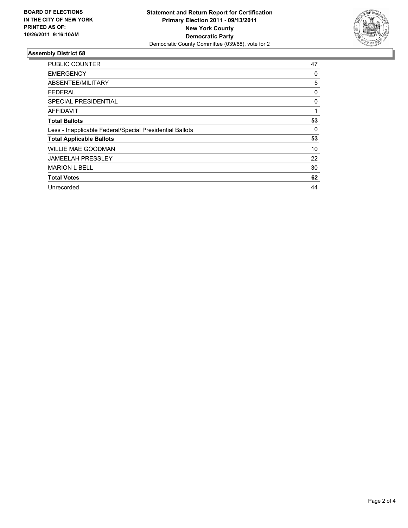

| <b>PUBLIC COUNTER</b>                                    | 47 |
|----------------------------------------------------------|----|
| <b>EMERGENCY</b>                                         | 0  |
| ABSENTEE/MILITARY                                        | 5  |
| <b>FEDERAL</b>                                           | 0  |
| <b>SPECIAL PRESIDENTIAL</b>                              | 0  |
| <b>AFFIDAVIT</b>                                         | 1  |
| <b>Total Ballots</b>                                     | 53 |
| Less - Inapplicable Federal/Special Presidential Ballots | 0  |
| <b>Total Applicable Ballots</b>                          | 53 |
| <b>WILLIE MAE GOODMAN</b>                                | 10 |
| <b>JAMEELAH PRESSLEY</b>                                 | 22 |
| <b>MARION L BELL</b>                                     | 30 |
| <b>Total Votes</b>                                       | 62 |
| Unrecorded                                               | 44 |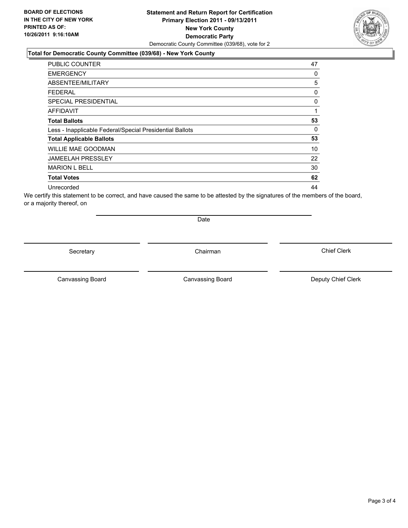#### **Statement and Return Report for Certification Primary Election 2011 - 09/13/2011 New York County Democratic Party** Democratic County Committee (039/68), vote for 2

### **Total for Democratic County Committee (039/68) - New York County**

| <b>PUBLIC COUNTER</b>                                    | 47 |
|----------------------------------------------------------|----|
| <b>EMERGENCY</b>                                         | 0  |
| ABSENTEE/MILITARY                                        | 5  |
| <b>FEDERAL</b>                                           | 0  |
| <b>SPECIAL PRESIDENTIAL</b>                              | 0  |
| <b>AFFIDAVIT</b>                                         | 1  |
| <b>Total Ballots</b>                                     | 53 |
| Less - Inapplicable Federal/Special Presidential Ballots | 0  |
| <b>Total Applicable Ballots</b>                          | 53 |
| WILLIE MAE GOODMAN                                       | 10 |
| <b>JAMEELAH PRESSLEY</b>                                 | 22 |
| <b>MARION L BELL</b>                                     | 30 |
| <b>Total Votes</b>                                       | 62 |
| Unrecorded                                               | 44 |

We certify this statement to be correct, and have caused the same to be attested by the signatures of the members of the board, or a majority thereof, on

Secretary **Chairman** 

Canvassing Board

Canvassing Board **Canvassing Board** Canvassing Board **Deputy Chief Clerk** 

Chief Clerk



Date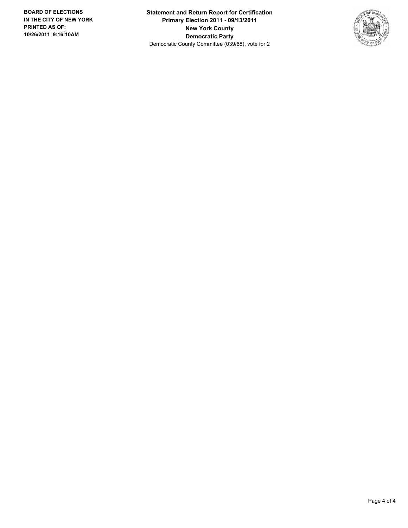**Statement and Return Report for Certification Primary Election 2011 - 09/13/2011 New York County Democratic Party** Democratic County Committee (039/68), vote for 2

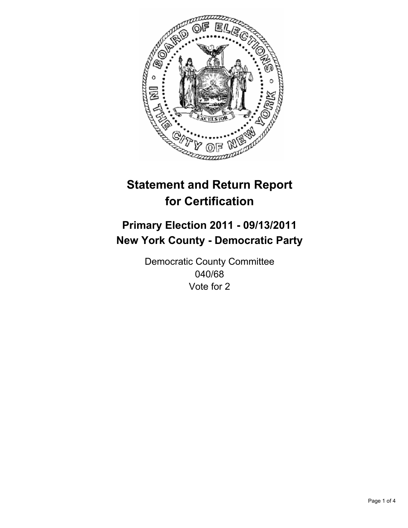

## **Primary Election 2011 - 09/13/2011 New York County - Democratic Party**

Democratic County Committee 040/68 Vote for 2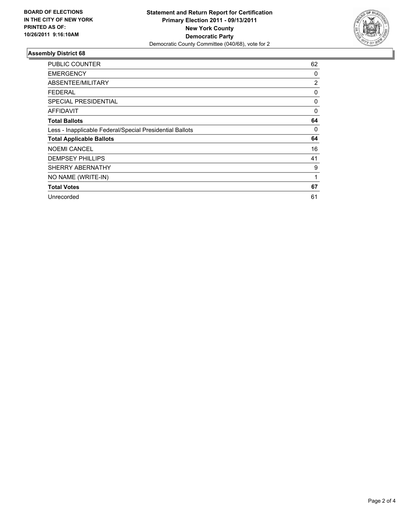

| PUBLIC COUNTER                                           | 62             |
|----------------------------------------------------------|----------------|
| <b>EMERGENCY</b>                                         | 0              |
| ABSENTEE/MILITARY                                        | $\overline{2}$ |
| <b>FEDERAL</b>                                           | 0              |
| <b>SPECIAL PRESIDENTIAL</b>                              | 0              |
| AFFIDAVIT                                                | 0              |
| <b>Total Ballots</b>                                     | 64             |
| Less - Inapplicable Federal/Special Presidential Ballots | 0              |
| <b>Total Applicable Ballots</b>                          | 64             |
| <b>NOEMI CANCEL</b>                                      | 16             |
| <b>DEMPSEY PHILLIPS</b>                                  | 41             |
| SHERRY ABERNATHY                                         | 9              |
| NO NAME (WRITE-IN)                                       | 1              |
| <b>Total Votes</b>                                       | 67             |
| Unrecorded                                               | 61             |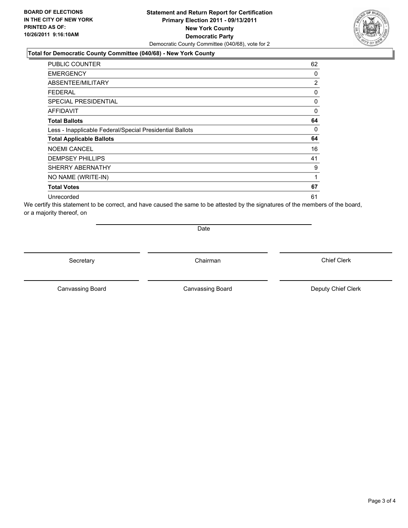#### **Statement and Return Report for Certification Primary Election 2011 - 09/13/2011 New York County Democratic Party** Democratic County Committee (040/68), vote for 2

### **Total for Democratic County Committee (040/68) - New York County**

| PUBLIC COUNTER                                           | 62 |
|----------------------------------------------------------|----|
| <b>EMERGENCY</b>                                         | 0  |
| <b>ABSENTEE/MILITARY</b>                                 | 2  |
| <b>FEDERAL</b>                                           | 0  |
| SPECIAL PRESIDENTIAL                                     | 0  |
| <b>AFFIDAVIT</b>                                         | 0  |
| <b>Total Ballots</b>                                     | 64 |
| Less - Inapplicable Federal/Special Presidential Ballots | 0  |
| <b>Total Applicable Ballots</b>                          | 64 |
| <b>NOEMI CANCEL</b>                                      | 16 |
| <b>DEMPSEY PHILLIPS</b>                                  | 41 |
| SHERRY ABERNATHY                                         | 9  |
| NO NAME (WRITE-IN)                                       | 1  |
| <b>Total Votes</b>                                       | 67 |
| Unrecorded                                               | 61 |

We certify this statement to be correct, and have caused the same to be attested by the signatures of the members of the board, or a majority thereof, on

Date

Secretary **Chairman** 

Canvassing Board **Canvassing Board** Canvassing Board **Deputy Chief Clerk** 

Canvassing Board

Chief Clerk

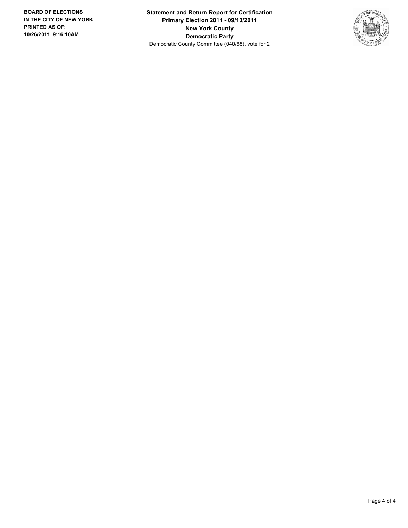**Statement and Return Report for Certification Primary Election 2011 - 09/13/2011 New York County Democratic Party** Democratic County Committee (040/68), vote for 2

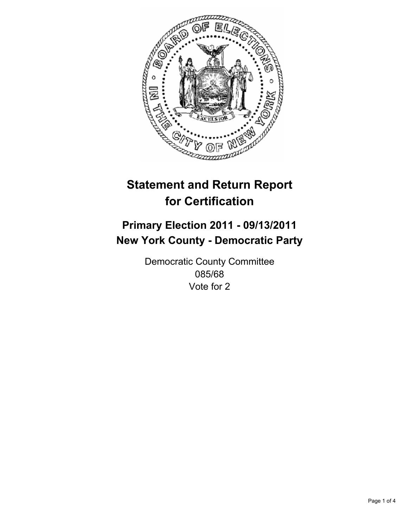

## **Primary Election 2011 - 09/13/2011 New York County - Democratic Party**

Democratic County Committee 085/68 Vote for 2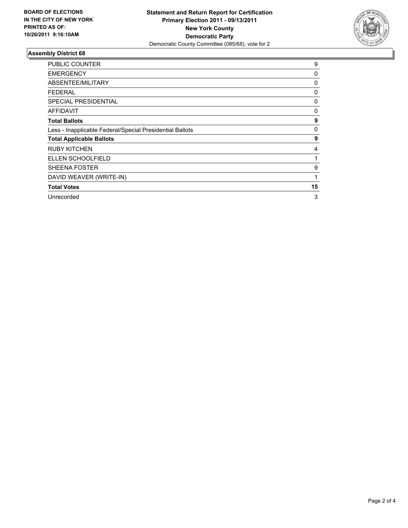

| PUBLIC COUNTER                                           | 9  |
|----------------------------------------------------------|----|
| <b>EMERGENCY</b>                                         | 0  |
| ABSENTEE/MILITARY                                        | 0  |
| FEDERAL                                                  | 0  |
| <b>SPECIAL PRESIDENTIAL</b>                              | 0  |
| AFFIDAVIT                                                | 0  |
| <b>Total Ballots</b>                                     | 9  |
| Less - Inapplicable Federal/Special Presidential Ballots | 0  |
| <b>Total Applicable Ballots</b>                          | 9  |
| <b>RUBY KITCHEN</b>                                      | 4  |
| ELLEN SCHOOLFIELD                                        | 1  |
| <b>SHEENA FOSTER</b>                                     | 9  |
| DAVID WEAVER (WRITE-IN)                                  | 1  |
| <b>Total Votes</b>                                       | 15 |
| Unrecorded                                               | 3  |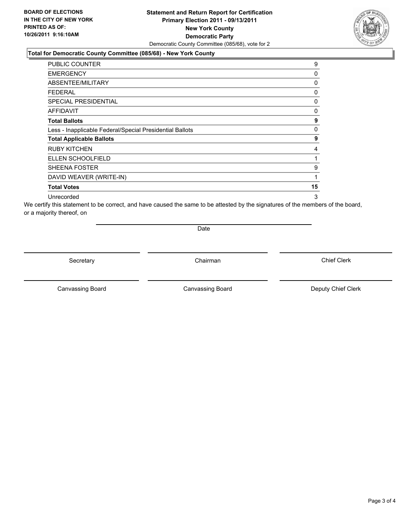#### **Statement and Return Report for Certification Primary Election 2011 - 09/13/2011 New York County Democratic Party** Democratic County Committee (085/68), vote for 2

### **Total for Democratic County Committee (085/68) - New York County**

| PUBLIC COUNTER                                           | 9  |
|----------------------------------------------------------|----|
| <b>EMERGENCY</b>                                         | 0  |
| <b>ABSENTEE/MILITARY</b>                                 | 0  |
| FEDERAL                                                  | 0  |
| <b>SPECIAL PRESIDENTIAL</b>                              | 0  |
| <b>AFFIDAVIT</b>                                         | 0  |
| <b>Total Ballots</b>                                     | 9  |
| Less - Inapplicable Federal/Special Presidential Ballots | 0  |
| <b>Total Applicable Ballots</b>                          | 9  |
| <b>RUBY KITCHEN</b>                                      | 4  |
| <b>ELLEN SCHOOLFIELD</b>                                 | 1  |
| <b>SHEENA FOSTER</b>                                     | 9  |
| DAVID WEAVER (WRITE-IN)                                  | 1  |
| <b>Total Votes</b>                                       | 15 |
| Unrecorded                                               | 3  |

We certify this statement to be correct, and have caused the same to be attested by the signatures of the members of the board, or a majority thereof, on

Date

Secretary **Chairman** 

Canvassing Board **Canvassing Board** Canvassing Board **Deputy Chief Clerk** 

Canvassing Board

Chief Clerk

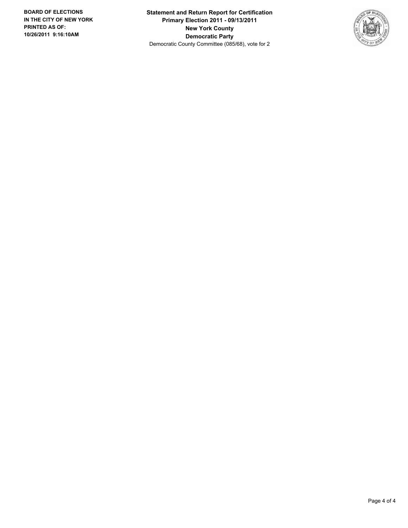**Statement and Return Report for Certification Primary Election 2011 - 09/13/2011 New York County Democratic Party** Democratic County Committee (085/68), vote for 2

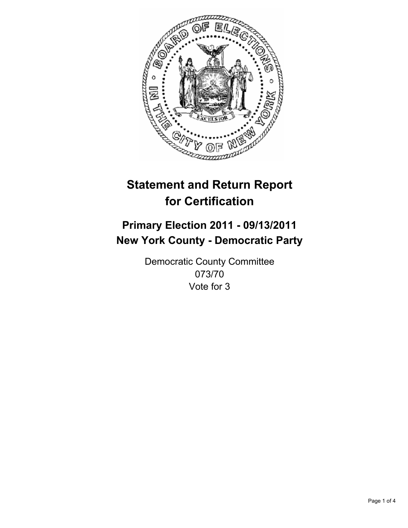

## **Primary Election 2011 - 09/13/2011 New York County - Democratic Party**

Democratic County Committee 073/70 Vote for 3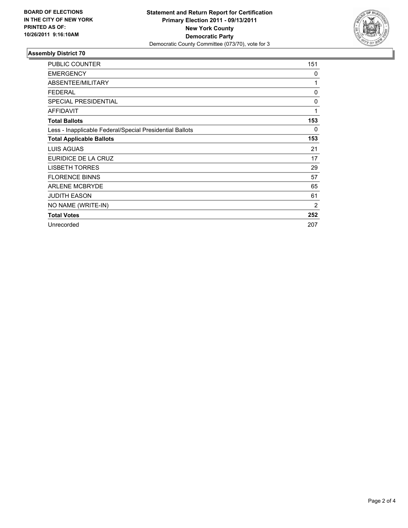

| <b>PUBLIC COUNTER</b>                                    | 151      |
|----------------------------------------------------------|----------|
| <b>EMERGENCY</b>                                         | 0        |
| ABSENTEE/MILITARY                                        | 1        |
| <b>FEDERAL</b>                                           | 0        |
| <b>SPECIAL PRESIDENTIAL</b>                              | 0        |
| <b>AFFIDAVIT</b>                                         | 1        |
| <b>Total Ballots</b>                                     | 153      |
| Less - Inapplicable Federal/Special Presidential Ballots | $\Omega$ |
| <b>Total Applicable Ballots</b>                          | 153      |
| LUIS AGUAS                                               | 21       |
| EURIDICE DE LA CRUZ                                      | 17       |
| <b>LISBETH TORRES</b>                                    | 29       |
| <b>FLORENCE BINNS</b>                                    | 57       |
| <b>ARLENE MCBRYDE</b>                                    | 65       |
| <b>JUDITH EASON</b>                                      | 61       |
| NO NAME (WRITE-IN)                                       | 2        |
| <b>Total Votes</b>                                       | 252      |
| Unrecorded                                               | 207      |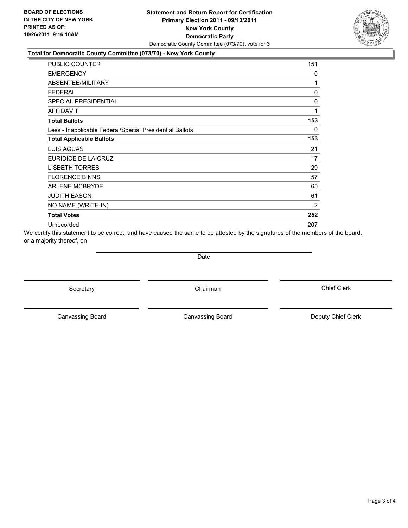#### **Statement and Return Report for Certification Primary Election 2011 - 09/13/2011 New York County Democratic Party** Democratic County Committee (073/70), vote for 3

#### **Total for Democratic County Committee (073/70) - New York County**

| PUBLIC COUNTER                                           | 151      |
|----------------------------------------------------------|----------|
| <b>EMERGENCY</b>                                         | 0        |
| <b>ABSENTEE/MILITARY</b>                                 | 1        |
| <b>FEDERAL</b>                                           | $\Omega$ |
| <b>SPECIAL PRESIDENTIAL</b>                              | 0        |
| <b>AFFIDAVIT</b>                                         | 1        |
| <b>Total Ballots</b>                                     | 153      |
| Less - Inapplicable Federal/Special Presidential Ballots | 0        |
| <b>Total Applicable Ballots</b>                          | 153      |
| LUIS AGUAS                                               | 21       |
| EURIDICE DE LA CRUZ                                      | 17       |
| <b>LISBETH TORRES</b>                                    | 29       |
| <b>FLORENCE BINNS</b>                                    | 57       |
| <b>ARLENE MCBRYDE</b>                                    | 65       |
| <b>JUDITH EASON</b>                                      | 61       |
| NO NAME (WRITE-IN)                                       | 2        |
| <b>Total Votes</b>                                       | 252      |
| Unrecorded                                               | 207      |

We certify this statement to be correct, and have caused the same to be attested by the signatures of the members of the board, or a majority thereof, on

Secretary **Chairman** 

Date

Chief Clerk

Canvassing Board

Canvassing Board **Canvassing Board** Canvassing Board **Deputy Chief Clerk**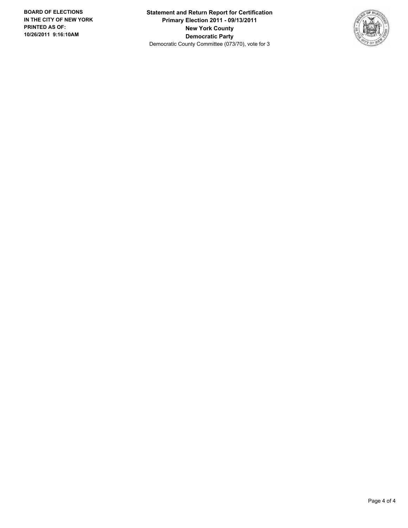**Statement and Return Report for Certification Primary Election 2011 - 09/13/2011 New York County Democratic Party** Democratic County Committee (073/70), vote for 3

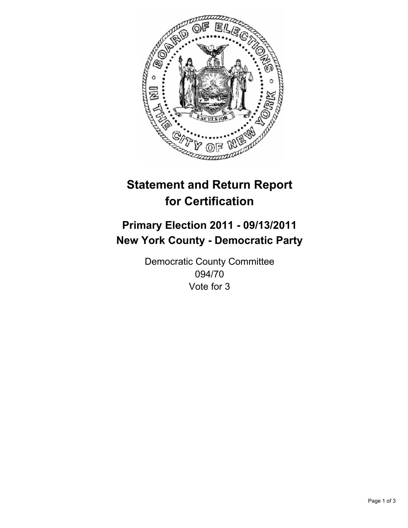

## **Primary Election 2011 - 09/13/2011 New York County - Democratic Party**

Democratic County Committee 094/70 Vote for 3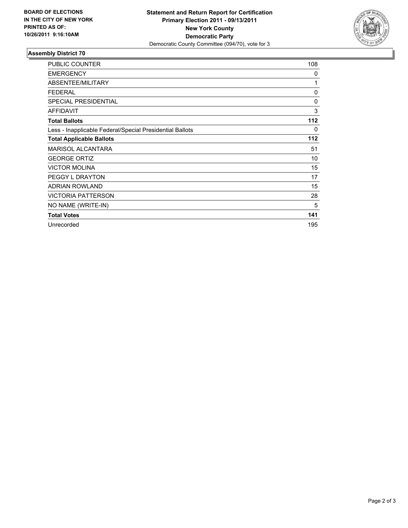

| <b>PUBLIC COUNTER</b>                                    | 108      |
|----------------------------------------------------------|----------|
| <b>EMERGENCY</b>                                         | 0        |
| ABSENTEE/MILITARY                                        | 1        |
| <b>FEDERAL</b>                                           | 0        |
| <b>SPECIAL PRESIDENTIAL</b>                              | 0        |
| <b>AFFIDAVIT</b>                                         | 3        |
| <b>Total Ballots</b>                                     | 112      |
| Less - Inapplicable Federal/Special Presidential Ballots | $\Omega$ |
| <b>Total Applicable Ballots</b>                          | 112      |
| <b>MARISOL ALCANTARA</b>                                 | 51       |
| <b>GEORGE ORTIZ</b>                                      | 10       |
| <b>VICTOR MOLINA</b>                                     | 15       |
| PEGGY L DRAYTON                                          | 17       |
| <b>ADRIAN ROWLAND</b>                                    | 15       |
| <b>VICTORIA PATTERSON</b>                                | 28       |
| NO NAME (WRITE-IN)                                       | 5        |
| <b>Total Votes</b>                                       | 141      |
| Unrecorded                                               | 195      |